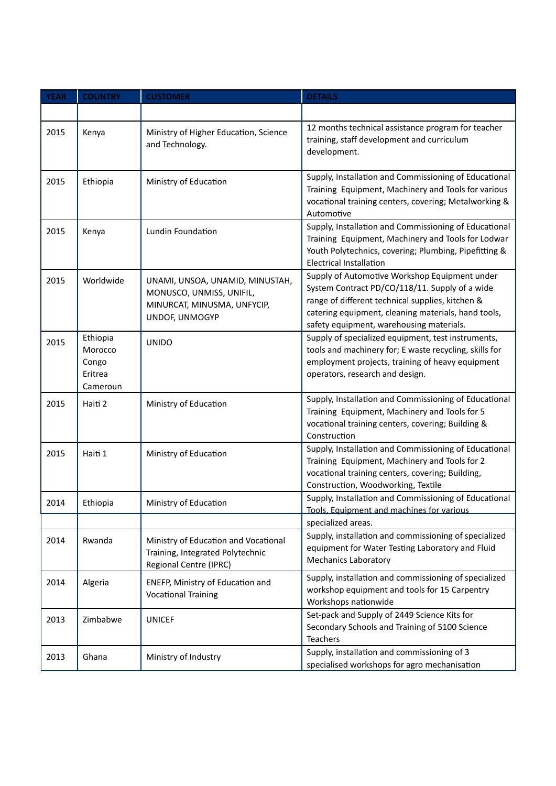| <b>YEAR</b> | <b>COUNTRY</b>                                      | <b>CUSTOMER</b>                                                                                              | <b>DETAILS</b>                                                                                                                                                                                                                                         |
|-------------|-----------------------------------------------------|--------------------------------------------------------------------------------------------------------------|--------------------------------------------------------------------------------------------------------------------------------------------------------------------------------------------------------------------------------------------------------|
|             |                                                     |                                                                                                              |                                                                                                                                                                                                                                                        |
| 2015        | Kenya                                               | Ministry of Higher Education, Science<br>and Technology.                                                     | 12 months technical assistance program for teacher<br>training, staff development and curriculum<br>development.                                                                                                                                       |
| 2015        | Ethiopia                                            | Ministry of Education                                                                                        | Supply, Installation and Commissioning of Educational<br>Training Equipment, Machinery and Tools for various<br>vocational training centers, covering; Metalworking &<br>Automotive                                                                    |
| 2015        | Kenya                                               | Lundin Foundation                                                                                            | Supply, Installation and Commissioning of Educational<br>Training Equipment, Machinery and Tools for Lodwar<br>Youth Polytechnics, covering; Plumbing, Pipefitting &<br><b>Electrical Installation</b>                                                 |
| 2015        | Worldwide                                           | UNAMI, UNSOA, UNAMID, MINUSTAH,<br>MONUSCO, UNMISS, UNIFIL,<br>MINURCAT, MINUSMA, UNFYCIP,<br>UNDOF, UNMOGYP | Supply of Automotive Workshop Equipment under<br>System Contract PD/CO/118/11. Supply of a wide<br>range of different technical supplies, kitchen &<br>catering equipment, cleaning materials, hand tools,<br>safety equipment, warehousing materials. |
| 2015        | Ethiopia<br>Morocco<br>Congo<br>Eritrea<br>Cameroun | <b>UNIDO</b>                                                                                                 | Supply of specialized equipment, test instruments,<br>tools and machinery for; E waste recycling, skills for<br>employment projects, training of heavy equipment<br>operators, research and design.                                                    |
| 2015        | Haiti 2                                             | Ministry of Education                                                                                        | Supply, Installation and Commissioning of Educational<br>Training Equipment, Machinery and Tools for 5<br>vocational training centers, covering; Building &<br>Construction                                                                            |
| 2015        | Haiti 1                                             | Ministry of Education                                                                                        | Supply, Installation and Commissioning of Educational<br>Training Equipment, Machinery and Tools for 2<br>vocational training centers, covering; Building,<br>Construction, Woodworking, Textile                                                       |
| 2014        | Ethiopia                                            | Ministry of Education                                                                                        | Supply, Installation and Commissioning of Educational<br><u>Tools, Equipment and machines for various</u><br>specialized areas.                                                                                                                        |
| 2014        | Rwanda                                              | Ministry of Education and Vocational<br>Training, Integrated Polytechnic<br>Regional Centre (IPRC)           | Supply, installation and commissioning of specialized<br>equipment for Water Testing Laboratory and Fluid<br><b>Mechanics Laboratory</b>                                                                                                               |
| 2014        | Algeria                                             | ENEFP, Ministry of Education and<br><b>Vocational Training</b>                                               | Supply, installation and commissioning of specialized<br>workshop equipment and tools for 15 Carpentry<br>Workshops nationwide                                                                                                                         |
| 2013        | Zimbabwe                                            | <b>UNICEF</b>                                                                                                | Set-pack and Supply of 2449 Science Kits for<br>Secondary Schools and Training of 5100 Science<br>Teachers                                                                                                                                             |
| 2013        | Ghana                                               | Ministry of Industry                                                                                         | Supply, installation and commissioning of 3<br>specialised workshops for agro mechanisation                                                                                                                                                            |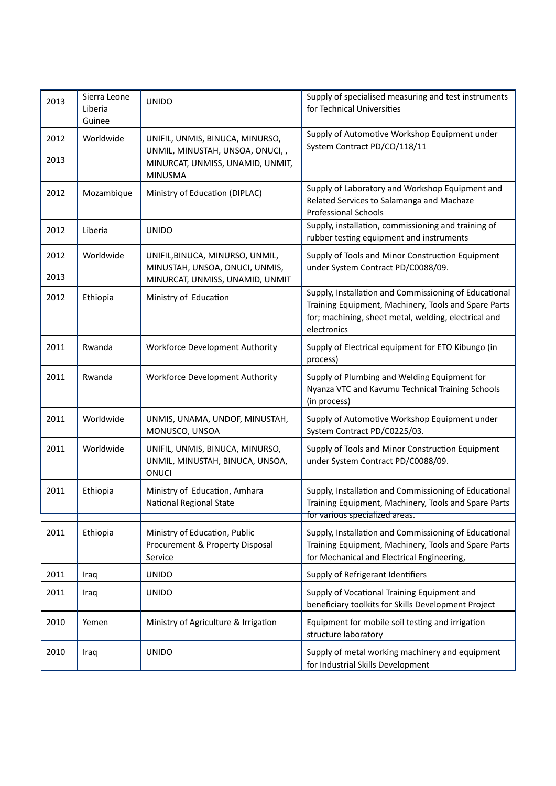| 2013         | Sierra Leone<br>Liberia<br>Guinee | <b>UNIDO</b>                                                                                                              | Supply of specialised measuring and test instruments<br>for Technical Universities                                                                                                   |
|--------------|-----------------------------------|---------------------------------------------------------------------------------------------------------------------------|--------------------------------------------------------------------------------------------------------------------------------------------------------------------------------------|
| 2012<br>2013 | Worldwide                         | UNIFIL, UNMIS, BINUCA, MINURSO,<br>UNMIL, MINUSTAH, UNSOA, ONUCI, ,<br>MINURCAT, UNMISS, UNAMID, UNMIT,<br><b>MINUSMA</b> | Supply of Automotive Workshop Equipment under<br>System Contract PD/CO/118/11                                                                                                        |
| 2012         | Mozambique                        | Ministry of Education (DIPLAC)                                                                                            | Supply of Laboratory and Workshop Equipment and<br>Related Services to Salamanga and Machaze<br><b>Professional Schools</b>                                                          |
| 2012         | Liberia                           | <b>UNIDO</b>                                                                                                              | Supply, installation, commissioning and training of<br>rubber testing equipment and instruments                                                                                      |
| 2012<br>2013 | Worldwide                         | UNIFIL, BINUCA, MINURSO, UNMIL,<br>MINUSTAH, UNSOA, ONUCI, UNMIS,<br>MINURCAT, UNMISS, UNAMID, UNMIT                      | Supply of Tools and Minor Construction Equipment<br>under System Contract PD/C0088/09.                                                                                               |
| 2012         | Ethiopia                          | Ministry of Education                                                                                                     | Supply, Installation and Commissioning of Educational<br>Training Equipment, Machinery, Tools and Spare Parts<br>for; machining, sheet metal, welding, electrical and<br>electronics |
| 2011         | Rwanda                            | Workforce Development Authority                                                                                           | Supply of Electrical equipment for ETO Kibungo (in<br>process)                                                                                                                       |
| 2011         | Rwanda                            | Workforce Development Authority                                                                                           | Supply of Plumbing and Welding Equipment for<br>Nyanza VTC and Kavumu Technical Training Schools<br>(in process)                                                                     |
| 2011         | Worldwide                         | UNMIS, UNAMA, UNDOF, MINUSTAH,<br>MONUSCO, UNSOA                                                                          | Supply of Automotive Workshop Equipment under<br>System Contract PD/C0225/03.                                                                                                        |
| 2011         | Worldwide                         | UNIFIL, UNMIS, BINUCA, MINURSO,<br>UNMIL, MINUSTAH, BINUCA, UNSOA,<br><b>ONUCI</b>                                        | Supply of Tools and Minor Construction Equipment<br>under System Contract PD/C0088/09.                                                                                               |
| 2011         | Ethiopia                          | Ministry of Education, Amhara<br>National Regional State                                                                  | Supply, Installation and Commissioning of Educational<br>Training Equipment, Machinery, Tools and Spare Parts<br>for various specialized areas.                                      |
| 2011         | Ethiopia                          | Ministry of Education, Public<br>Procurement & Property Disposal<br>Service                                               | Supply, Installation and Commissioning of Educational<br>Training Equipment, Machinery, Tools and Spare Parts<br>for Mechanical and Electrical Engineering,                          |
| 2011         | Iraq                              | <b>UNIDO</b>                                                                                                              | Supply of Refrigerant Identifiers                                                                                                                                                    |
| 2011         | Iraq                              | <b>UNIDO</b>                                                                                                              | Supply of Vocational Training Equipment and<br>beneficiary toolkits for Skills Development Project                                                                                   |
| 2010         | Yemen                             | Ministry of Agriculture & Irrigation                                                                                      | Equipment for mobile soil testing and irrigation<br>structure laboratory                                                                                                             |
| 2010         | Iraq                              | <b>UNIDO</b>                                                                                                              | Supply of metal working machinery and equipment<br>for Industrial Skills Development                                                                                                 |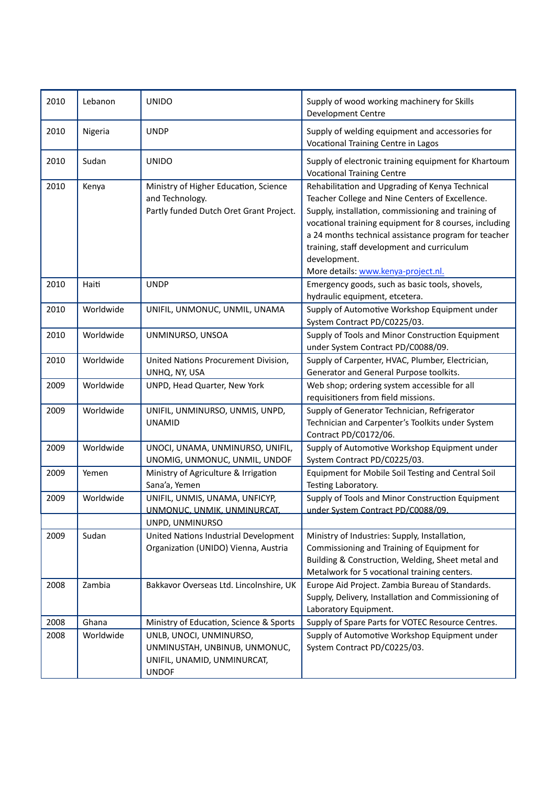| 2010 | Lebanon   | <b>UNIDO</b>                                                                                            | Supply of wood working machinery for Skills<br>Development Centre                                                                                                                                                                                                                                                                                                                |
|------|-----------|---------------------------------------------------------------------------------------------------------|----------------------------------------------------------------------------------------------------------------------------------------------------------------------------------------------------------------------------------------------------------------------------------------------------------------------------------------------------------------------------------|
| 2010 | Nigeria   | <b>UNDP</b>                                                                                             | Supply of welding equipment and accessories for<br>Vocational Training Centre in Lagos                                                                                                                                                                                                                                                                                           |
| 2010 | Sudan     | <b>UNIDO</b>                                                                                            | Supply of electronic training equipment for Khartoum<br><b>Vocational Training Centre</b>                                                                                                                                                                                                                                                                                        |
| 2010 | Kenya     | Ministry of Higher Education, Science<br>and Technology.<br>Partly funded Dutch Oret Grant Project.     | Rehabilitation and Upgrading of Kenya Technical<br>Teacher College and Nine Centers of Excellence.<br>Supply, installation, commissioning and training of<br>vocational training equipment for 8 courses, including<br>a 24 months technical assistance program for teacher<br>training, staff development and curriculum<br>development.<br>More details: www.kenya-project.nl. |
| 2010 | Haiti     | <b>UNDP</b>                                                                                             | Emergency goods, such as basic tools, shovels,<br>hydraulic equipment, etcetera.                                                                                                                                                                                                                                                                                                 |
| 2010 | Worldwide | UNIFIL, UNMONUC, UNMIL, UNAMA                                                                           | Supply of Automotive Workshop Equipment under<br>System Contract PD/C0225/03.                                                                                                                                                                                                                                                                                                    |
| 2010 | Worldwide | UNMINURSO, UNSOA                                                                                        | Supply of Tools and Minor Construction Equipment<br>under System Contract PD/C0088/09.                                                                                                                                                                                                                                                                                           |
| 2010 | Worldwide | United Nations Procurement Division,<br>UNHQ, NY, USA                                                   | Supply of Carpenter, HVAC, Plumber, Electrician,<br>Generator and General Purpose toolkits.                                                                                                                                                                                                                                                                                      |
| 2009 | Worldwide | UNPD, Head Quarter, New York                                                                            | Web shop; ordering system accessible for all<br>requisitioners from field missions.                                                                                                                                                                                                                                                                                              |
| 2009 | Worldwide | UNIFIL, UNMINURSO, UNMIS, UNPD,<br><b>UNAMID</b>                                                        | Supply of Generator Technician, Refrigerator<br>Technician and Carpenter's Toolkits under System<br>Contract PD/C0172/06.                                                                                                                                                                                                                                                        |
| 2009 | Worldwide | UNOCI, UNAMA, UNMINURSO, UNIFIL,<br>UNOMIG, UNMONUC, UNMIL, UNDOF                                       | Supply of Automotive Workshop Equipment under<br>System Contract PD/C0225/03.                                                                                                                                                                                                                                                                                                    |
| 2009 | Yemen     | Ministry of Agriculture & Irrigation<br>Sana'a, Yemen                                                   | Equipment for Mobile Soil Testing and Central Soil<br>Testing Laboratory.                                                                                                                                                                                                                                                                                                        |
| 2009 | Worldwide | UNIFIL, UNMIS, UNAMA, UNFICYP,<br><u>UNMONUC, UNMIK, UNMINURCAT,</u>                                    | Supply of Tools and Minor Construction Equipment<br>under System Contract PD/C0088/09                                                                                                                                                                                                                                                                                            |
|      |           | UNPD, UNMINURSO                                                                                         |                                                                                                                                                                                                                                                                                                                                                                                  |
| 2009 | Sudan     | United Nations Industrial Development<br>Organization (UNIDO) Vienna, Austria                           | Ministry of Industries: Supply, Installation,<br>Commissioning and Training of Equipment for<br>Building & Construction, Welding, Sheet metal and<br>Metalwork for 5 vocational training centers.                                                                                                                                                                                |
| 2008 | Zambia    | Bakkavor Overseas Ltd. Lincolnshire, UK                                                                 | Europe Aid Project. Zambia Bureau of Standards.<br>Supply, Delivery, Installation and Commissioning of<br>Laboratory Equipment.                                                                                                                                                                                                                                                  |
| 2008 | Ghana     | Ministry of Education, Science & Sports                                                                 | Supply of Spare Parts for VOTEC Resource Centres.                                                                                                                                                                                                                                                                                                                                |
| 2008 | Worldwide | UNLB, UNOCI, UNMINURSO,<br>UNMINUSTAH, UNBINUB, UNMONUC,<br>UNIFIL, UNAMID, UNMINURCAT,<br><b>UNDOF</b> | Supply of Automotive Workshop Equipment under<br>System Contract PD/C0225/03.                                                                                                                                                                                                                                                                                                    |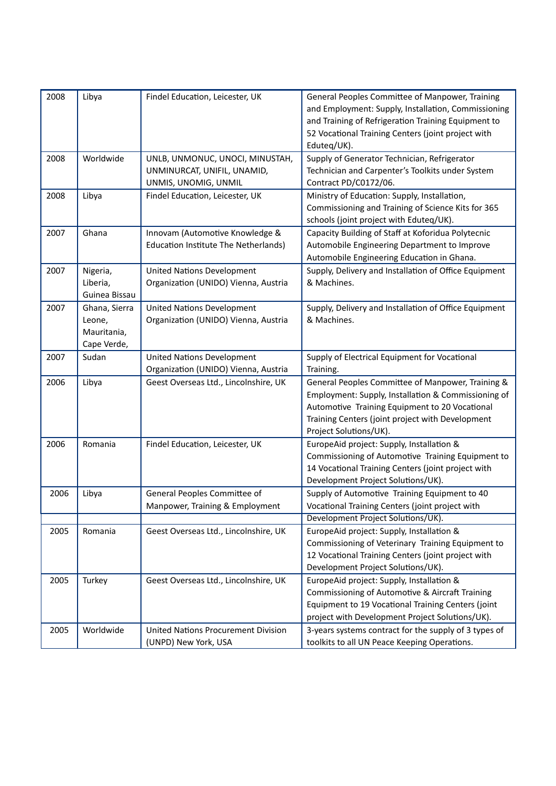| 2008 | Libya                                                 | Findel Education, Leicester, UK                                                        | General Peoples Committee of Manpower, Training<br>and Employment: Supply, Installation, Commissioning<br>and Training of Refrigeration Training Equipment to<br>52 Vocational Training Centers (joint project with<br>Eduteq/UK).       |
|------|-------------------------------------------------------|----------------------------------------------------------------------------------------|------------------------------------------------------------------------------------------------------------------------------------------------------------------------------------------------------------------------------------------|
| 2008 | Worldwide                                             | UNLB, UNMONUC, UNOCI, MINUSTAH,<br>UNMINURCAT, UNIFIL, UNAMID,<br>UNMIS, UNOMIG, UNMIL | Supply of Generator Technician, Refrigerator<br>Technician and Carpenter's Toolkits under System<br>Contract PD/C0172/06.                                                                                                                |
| 2008 | Libya                                                 | Findel Education, Leicester, UK                                                        | Ministry of Education: Supply, Installation,<br>Commissioning and Training of Science Kits for 365<br>schools (joint project with Eduteq/UK).                                                                                            |
| 2007 | Ghana                                                 | Innovam (Automotive Knowledge &<br>Education Institute The Netherlands)                | Capacity Building of Staff at Koforidua Polytecnic<br>Automobile Engineering Department to Improve<br>Automobile Engineering Education in Ghana.                                                                                         |
| 2007 | Nigeria,<br>Liberia,<br>Guinea Bissau                 | <b>United Nations Development</b><br>Organization (UNIDO) Vienna, Austria              | Supply, Delivery and Installation of Office Equipment<br>& Machines.                                                                                                                                                                     |
| 2007 | Ghana, Sierra<br>Leone,<br>Mauritania,<br>Cape Verde, | <b>United Nations Development</b><br>Organization (UNIDO) Vienna, Austria              | Supply, Delivery and Installation of Office Equipment<br>& Machines.                                                                                                                                                                     |
| 2007 | Sudan                                                 | <b>United Nations Development</b><br>Organization (UNIDO) Vienna, Austria              | Supply of Electrical Equipment for Vocational<br>Training.                                                                                                                                                                               |
| 2006 | Libya                                                 | Geest Overseas Ltd., Lincolnshire, UK                                                  | General Peoples Committee of Manpower, Training &<br>Employment: Supply, Installation & Commissioning of<br>Automotive Training Equipment to 20 Vocational<br>Training Centers (joint project with Development<br>Project Solutions/UK). |
| 2006 | Romania                                               | Findel Education, Leicester, UK                                                        | EuropeAid project: Supply, Installation &<br>Commissioning of Automotive Training Equipment to<br>14 Vocational Training Centers (joint project with<br>Development Project Solutions/UK).                                               |
| 2006 | Libya                                                 | General Peoples Committee of<br>Manpower, Training & Employment                        | Supply of Automotive Training Equipment to 40<br>Vocational Training Centers (joint project with                                                                                                                                         |
|      |                                                       |                                                                                        | Development Project Solutions/UK).                                                                                                                                                                                                       |
| 2005 | Romania                                               | Geest Overseas Ltd., Lincolnshire, UK                                                  | EuropeAid project: Supply, Installation &<br>Commissioning of Veterinary Training Equipment to<br>12 Vocational Training Centers (joint project with<br>Development Project Solutions/UK).                                               |
| 2005 | Turkey                                                | Geest Overseas Ltd., Lincolnshire, UK                                                  | EuropeAid project: Supply, Installation &<br>Commissioning of Automotive & Aircraft Training<br>Equipment to 19 Vocational Training Centers (joint<br>project with Development Project Solutions/UK).                                    |
| 2005 | Worldwide                                             | <b>United Nations Procurement Division</b><br>(UNPD) New York, USA                     | 3-years systems contract for the supply of 3 types of<br>toolkits to all UN Peace Keeping Operations.                                                                                                                                    |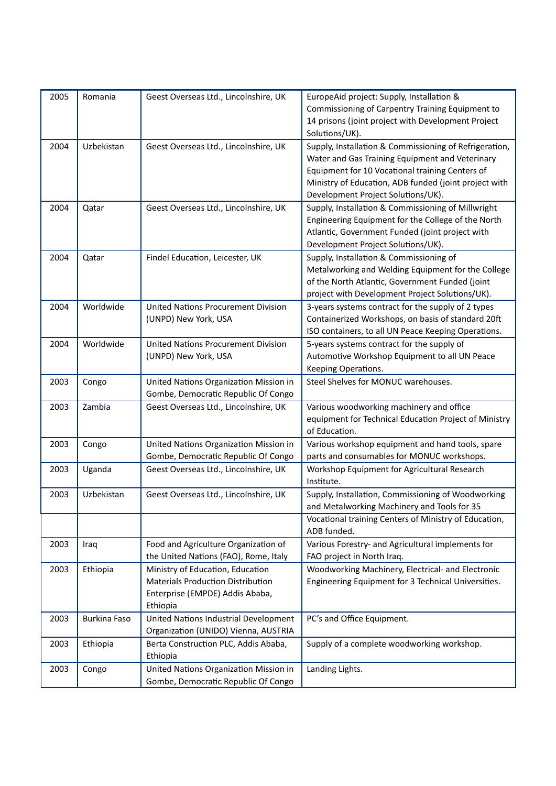| 2005 | Romania             | Geest Overseas Ltd., Lincolnshire, UK      | EuropeAid project: Supply, Installation &<br>Commissioning of Carpentry Training Equipment to             |
|------|---------------------|--------------------------------------------|-----------------------------------------------------------------------------------------------------------|
|      |                     |                                            | 14 prisons (joint project with Development Project<br>Solutions/UK).                                      |
| 2004 | Uzbekistan          | Geest Overseas Ltd., Lincolnshire, UK      | Supply, Installation & Commissioning of Refrigeration,<br>Water and Gas Training Equipment and Veterinary |
|      |                     |                                            | Equipment for 10 Vocational training Centers of                                                           |
|      |                     |                                            | Ministry of Education, ADB funded (joint project with                                                     |
|      |                     |                                            | Development Project Solutions/UK).                                                                        |
| 2004 | Qatar               | Geest Overseas Ltd., Lincolnshire, UK      | Supply, Installation & Commissioning of Millwright                                                        |
|      |                     |                                            | Engineering Equipment for the College of the North                                                        |
|      |                     |                                            | Atlantic, Government Funded (joint project with                                                           |
|      |                     |                                            | Development Project Solutions/UK).                                                                        |
| 2004 | Qatar               | Findel Education, Leicester, UK            | Supply, Installation & Commissioning of                                                                   |
|      |                     |                                            | Metalworking and Welding Equipment for the College                                                        |
|      |                     |                                            | of the North Atlantic, Government Funded (joint                                                           |
|      |                     |                                            | project with Development Project Solutions/UK).                                                           |
| 2004 | Worldwide           | United Nations Procurement Division        | 3-years systems contract for the supply of 2 types                                                        |
|      |                     | (UNPD) New York, USA                       | Containerized Workshops, on basis of standard 20ft                                                        |
|      |                     |                                            | ISO containers, to all UN Peace Keeping Operations.                                                       |
| 2004 | Worldwide           | <b>United Nations Procurement Division</b> | 5-years systems contract for the supply of                                                                |
|      |                     | (UNPD) New York, USA                       | Automotive Workshop Equipment to all UN Peace                                                             |
|      |                     |                                            | Keeping Operations.                                                                                       |
| 2003 | Congo               | United Nations Organization Mission in     | Steel Shelves for MONUC warehouses.                                                                       |
|      |                     | Gombe, Democratic Republic Of Congo        |                                                                                                           |
| 2003 | Zambia              | Geest Overseas Ltd., Lincolnshire, UK      | Various woodworking machinery and office                                                                  |
|      |                     |                                            | equipment for Technical Education Project of Ministry                                                     |
|      |                     |                                            | of Education.                                                                                             |
| 2003 | Congo               | United Nations Organization Mission in     | Various workshop equipment and hand tools, spare                                                          |
|      |                     | Gombe, Democratic Republic Of Congo        | parts and consumables for MONUC workshops.                                                                |
| 2003 | Uganda              | Geest Overseas Ltd., Lincolnshire, UK      | Workshop Equipment for Agricultural Research                                                              |
|      |                     |                                            | Institute.                                                                                                |
| 2003 | Uzbekistan          | Geest Overseas Ltd., Lincolnshire, UK      | Supply, Installation, Commissioning of Woodworking                                                        |
|      |                     |                                            | and Metalworking Machinery and Tools for 35                                                               |
|      |                     |                                            | Vocational training Centers of Ministry of Education,                                                     |
|      |                     |                                            | ADB funded.                                                                                               |
| 2003 | Iraq                | Food and Agriculture Organization of       | Various Forestry- and Agricultural implements for                                                         |
|      |                     | the United Nations (FAO), Rome, Italy      | FAO project in North Iraq.                                                                                |
| 2003 | Ethiopia            | Ministry of Education, Education           | Woodworking Machinery, Electrical- and Electronic                                                         |
|      |                     | Materials Production Distribution          | Engineering Equipment for 3 Technical Universities.                                                       |
|      |                     | Enterprise (EMPDE) Addis Ababa,            |                                                                                                           |
|      |                     | Ethiopia                                   |                                                                                                           |
| 2003 | <b>Burkina Faso</b> | United Nations Industrial Development      | PC's and Office Equipment.                                                                                |
|      |                     | Organization (UNIDO) Vienna, AUSTRIA       |                                                                                                           |
| 2003 | Ethiopia            | Berta Construction PLC, Addis Ababa,       | Supply of a complete woodworking workshop.                                                                |
|      |                     | Ethiopia                                   |                                                                                                           |
| 2003 | Congo               | United Nations Organization Mission in     | Landing Lights.                                                                                           |
|      |                     | Gombe, Democratic Republic Of Congo        |                                                                                                           |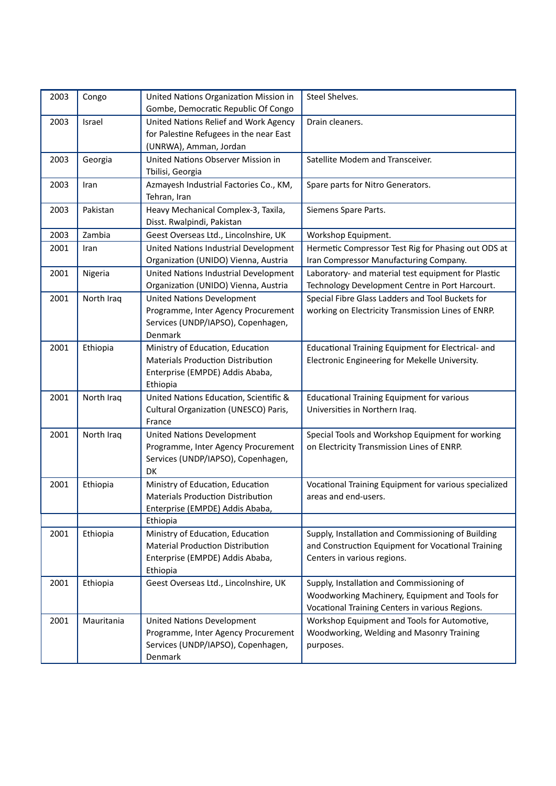| 2003 | Congo      | United Nations Organization Mission in<br>Gombe, Democratic Republic Of Congo                                               | Steel Shelves.                                                                                                                                 |
|------|------------|-----------------------------------------------------------------------------------------------------------------------------|------------------------------------------------------------------------------------------------------------------------------------------------|
| 2003 | Israel     | United Nations Relief and Work Agency<br>for Palestine Refugees in the near East<br>(UNRWA), Amman, Jordan                  | Drain cleaners.                                                                                                                                |
| 2003 | Georgia    | United Nations Observer Mission in<br>Tbilisi, Georgia                                                                      | Satellite Modem and Transceiver.                                                                                                               |
| 2003 | Iran       | Azmayesh Industrial Factories Co., KM,<br>Tehran, Iran                                                                      | Spare parts for Nitro Generators.                                                                                                              |
| 2003 | Pakistan   | Heavy Mechanical Complex-3, Taxila,<br>Disst. Rwalpindi, Pakistan                                                           | Siemens Spare Parts.                                                                                                                           |
| 2003 | Zambia     | Geest Overseas Ltd., Lincolnshire, UK                                                                                       | Workshop Equipment.                                                                                                                            |
| 2001 | Iran       | United Nations Industrial Development<br>Organization (UNIDO) Vienna, Austria                                               | Hermetic Compressor Test Rig for Phasing out ODS at<br>Iran Compressor Manufacturing Company.                                                  |
| 2001 | Nigeria    | United Nations Industrial Development<br>Organization (UNIDO) Vienna, Austria                                               | Laboratory- and material test equipment for Plastic<br>Technology Development Centre in Port Harcourt.                                         |
| 2001 | North Iraq | <b>United Nations Development</b><br>Programme, Inter Agency Procurement<br>Services (UNDP/IAPSO), Copenhagen,<br>Denmark   | Special Fibre Glass Ladders and Tool Buckets for<br>working on Electricity Transmission Lines of ENRP.                                         |
| 2001 | Ethiopia   | Ministry of Education, Education<br><b>Materials Production Distribution</b><br>Enterprise (EMPDE) Addis Ababa,<br>Ethiopia | Educational Training Equipment for Electrical- and<br>Electronic Engineering for Mekelle University.                                           |
| 2001 | North Iraq | United Nations Education, Scientific &<br>Cultural Organization (UNESCO) Paris,<br>France                                   | <b>Educational Training Equipment for various</b><br>Universities in Northern Iraq.                                                            |
| 2001 | North Iraq | <b>United Nations Development</b><br>Programme, Inter Agency Procurement<br>Services (UNDP/IAPSO), Copenhagen,<br><b>DK</b> | Special Tools and Workshop Equipment for working<br>on Electricity Transmission Lines of ENRP.                                                 |
| 2001 | Ethiopia   | Ministry of Education, Education<br>Materials Production Distribution<br>Enterprise (EMPDE) Addis Ababa,                    | Vocational Training Equipment for various specialized<br>areas and end-users.                                                                  |
|      |            | Ethiopia                                                                                                                    |                                                                                                                                                |
| 2001 | Ethiopia   | Ministry of Education, Education<br><b>Material Production Distribution</b><br>Enterprise (EMPDE) Addis Ababa,<br>Ethiopia  | Supply, Installation and Commissioning of Building<br>and Construction Equipment for Vocational Training<br>Centers in various regions.        |
| 2001 | Ethiopia   | Geest Overseas Ltd., Lincolnshire, UK                                                                                       | Supply, Installation and Commissioning of<br>Woodworking Machinery, Equipment and Tools for<br>Vocational Training Centers in various Regions. |
| 2001 | Mauritania | United Nations Development<br>Programme, Inter Agency Procurement<br>Services (UNDP/IAPSO), Copenhagen,<br>Denmark          | Workshop Equipment and Tools for Automotive,<br>Woodworking, Welding and Masonry Training<br>purposes.                                         |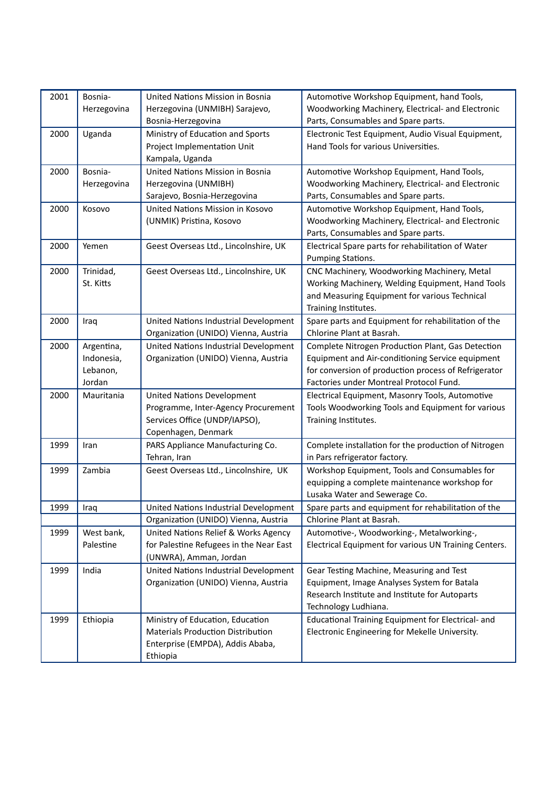| 2001 | Bosnia-     | United Nations Mission in Bosnia         | Automotive Workshop Equipment, hand Tools,            |
|------|-------------|------------------------------------------|-------------------------------------------------------|
|      | Herzegovina | Herzegovina (UNMIBH) Sarajevo,           | Woodworking Machinery, Electrical- and Electronic     |
|      |             | Bosnia-Herzegovina                       | Parts, Consumables and Spare parts.                   |
| 2000 | Uganda      | Ministry of Education and Sports         | Electronic Test Equipment, Audio Visual Equipment,    |
|      |             | Project Implementation Unit              | Hand Tools for various Universities.                  |
|      |             | Kampala, Uganda                          |                                                       |
| 2000 | Bosnia-     | United Nations Mission in Bosnia         | Automotive Workshop Equipment, Hand Tools,            |
|      | Herzegovina | Herzegovina (UNMIBH)                     | Woodworking Machinery, Electrical- and Electronic     |
|      |             | Sarajevo, Bosnia-Herzegovina             | Parts, Consumables and Spare parts.                   |
| 2000 | Kosovo      | United Nations Mission in Kosovo         | Automotive Workshop Equipment, Hand Tools,            |
|      |             | (UNMIK) Pristina, Kosovo                 | Woodworking Machinery, Electrical- and Electronic     |
|      |             |                                          | Parts, Consumables and Spare parts.                   |
| 2000 | Yemen       | Geest Overseas Ltd., Lincolnshire, UK    | Electrical Spare parts for rehabilitation of Water    |
|      |             |                                          | Pumping Stations.                                     |
| 2000 | Trinidad,   | Geest Overseas Ltd., Lincolnshire, UK    | CNC Machinery, Woodworking Machinery, Metal           |
|      | St. Kitts   |                                          | Working Machinery, Welding Equipment, Hand Tools      |
|      |             |                                          | and Measuring Equipment for various Technical         |
|      |             |                                          | Training Institutes.                                  |
| 2000 | Iraq        | United Nations Industrial Development    | Spare parts and Equipment for rehabilitation of the   |
|      |             | Organization (UNIDO) Vienna, Austria     | Chlorine Plant at Basrah.                             |
| 2000 | Argentina,  | United Nations Industrial Development    | Complete Nitrogen Production Plant, Gas Detection     |
|      | Indonesia,  | Organization (UNIDO) Vienna, Austria     | Equipment and Air-conditioning Service equipment      |
|      | Lebanon,    |                                          | for conversion of production process of Refrigerator  |
|      | Jordan      |                                          | Factories under Montreal Protocol Fund.               |
| 2000 | Mauritania  | <b>United Nations Development</b>        | Electrical Equipment, Masonry Tools, Automotive       |
|      |             | Programme, Inter-Agency Procurement      | Tools Woodworking Tools and Equipment for various     |
|      |             | Services Office (UNDP/IAPSO),            | Training Institutes.                                  |
|      |             | Copenhagen, Denmark                      |                                                       |
| 1999 | Iran        | PARS Appliance Manufacturing Co.         | Complete installation for the production of Nitrogen  |
|      |             | Tehran, Iran                             | in Pars refrigerator factory.                         |
| 1999 | Zambia      | Geest Overseas Ltd., Lincolnshire, UK    | Workshop Equipment, Tools and Consumables for         |
|      |             |                                          | equipping a complete maintenance workshop for         |
|      |             |                                          | Lusaka Water and Sewerage Co.                         |
| 1999 | Iraq        | United Nations Industrial Development    | Spare parts and equipment for rehabilitation of the   |
|      |             | Organization (UNIDO) Vienna, Austria     | Chlorine Plant at Basrah.                             |
| 1999 | West bank,  | United Nations Relief & Works Agency     | Automotive-, Woodworking-, Metalworking-,             |
|      | Palestine   | for Palestine Refugees in the Near East  | Electrical Equipment for various UN Training Centers. |
|      |             | (UNWRA), Amman, Jordan                   |                                                       |
| 1999 | India       | United Nations Industrial Development    | Gear Testing Machine, Measuring and Test              |
|      |             | Organization (UNIDO) Vienna, Austria     | Equipment, Image Analyses System for Batala           |
|      |             |                                          | Research Institute and Institute for Autoparts        |
|      |             |                                          | Technology Ludhiana.                                  |
| 1999 | Ethiopia    | Ministry of Education, Education         | Educational Training Equipment for Electrical- and    |
|      |             | <b>Materials Production Distribution</b> | Electronic Engineering for Mekelle University.        |
|      |             | Enterprise (EMPDA), Addis Ababa,         |                                                       |
|      |             | Ethiopia                                 |                                                       |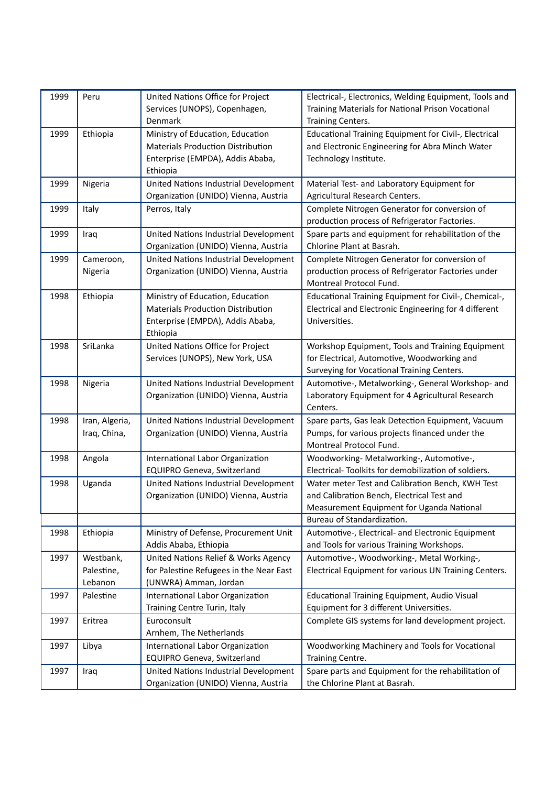| United Nations Office for Project<br>Electrical-, Electronics, Welding Equipment, Tools and<br>Peru<br>Services (UNOPS), Copenhagen,<br>Training Materials for National Prison Vocational<br>Training Centers.<br>Denmark<br>Ethiopia<br>Ministry of Education, Education<br>Educational Training Equipment for Civil-, Electrical<br>1999<br><b>Materials Production Distribution</b><br>and Electronic Engineering for Abra Minch Water<br>Enterprise (EMPDA), Addis Ababa,<br>Technology Institute.<br>Ethiopia<br>United Nations Industrial Development<br>1999<br>Nigeria<br>Material Test- and Laboratory Equipment for<br>Organization (UNIDO) Vienna, Austria<br>Agricultural Research Centers.<br>Complete Nitrogen Generator for conversion of<br>1999<br>Italy<br>Perros, Italy<br>production process of Refrigerator Factories.<br>Spare parts and equipment for rehabilitation of the<br>1999<br>United Nations Industrial Development<br>Iraq<br>Chlorine Plant at Basrah.<br>Organization (UNIDO) Vienna, Austria<br>1999<br>United Nations Industrial Development<br>Complete Nitrogen Generator for conversion of<br>Cameroon,<br>Organization (UNIDO) Vienna, Austria<br>production process of Refrigerator Factories under<br>Nigeria<br>Montreal Protocol Fund.<br>1998<br>Ethiopia<br>Ministry of Education, Education<br>Educational Training Equipment for Civil-, Chemical-,<br><b>Materials Production Distribution</b><br>Electrical and Electronic Engineering for 4 different<br>Enterprise (EMPDA), Addis Ababa,<br>Universities.<br>Ethiopia<br>1998<br>SriLanka<br>United Nations Office for Project<br>Workshop Equipment, Tools and Training Equipment<br>Services (UNOPS), New York, USA<br>for Electrical, Automotive, Woodworking and<br>Surveying for Vocational Training Centers.<br>United Nations Industrial Development<br>Automotive-, Metalworking-, General Workshop- and<br>1998<br>Nigeria<br>Organization (UNIDO) Vienna, Austria<br>Laboratory Equipment for 4 Agricultural Research<br>Centers.<br>Iran, Algeria,<br>United Nations Industrial Development<br>Spare parts, Gas leak Detection Equipment, Vacuum<br>1998<br>Pumps, for various projects financed under the<br>Organization (UNIDO) Vienna, Austria<br>Iraq, China,<br>Montreal Protocol Fund.<br>1998<br>Angola<br>International Labor Organization<br>Woodworking- Metalworking-, Automotive-,<br>Electrical- Toolkits for demobilization of soldiers.<br>EQUIPRO Geneva, Switzerland<br>1998<br>Uganda<br>United Nations Industrial Development<br>Water meter Test and Calibration Bench, KWH Test<br>Organization (UNIDO) Vienna, Austria<br>and Calibration Bench, Electrical Test and<br>Measurement Equipment for Uganda National<br>Bureau of Standardization.<br>1998<br>Ethiopia<br>Ministry of Defense, Procurement Unit<br>Automotive-, Electrical- and Electronic Equipment<br>Addis Ababa, Ethiopia<br>and Tools for various Training Workshops.<br>United Nations Relief & Works Agency<br>Automotive-, Woodworking-, Metal Working-,<br>1997<br>Westbank,<br>Electrical Equipment for various UN Training Centers.<br>Palestine,<br>for Palestine Refugees in the Near East<br>Lebanon<br>(UNWRA) Amman, Jordan<br>1997<br>Palestine<br>International Labor Organization<br>Educational Training Equipment, Audio Visual<br>Equipment for 3 different Universities.<br>Training Centre Turin, Italy<br>Euroconsult<br>1997<br>Eritrea<br>Complete GIS systems for land development project.<br>Arnhem, The Netherlands<br>Woodworking Machinery and Tools for Vocational<br>1997<br>Libya<br>International Labor Organization<br>EQUIPRO Geneva, Switzerland<br>Training Centre.<br>Spare parts and Equipment for the rehabilitation of<br>1997<br>United Nations Industrial Development<br>Iraq |      |                                      |                               |
|----------------------------------------------------------------------------------------------------------------------------------------------------------------------------------------------------------------------------------------------------------------------------------------------------------------------------------------------------------------------------------------------------------------------------------------------------------------------------------------------------------------------------------------------------------------------------------------------------------------------------------------------------------------------------------------------------------------------------------------------------------------------------------------------------------------------------------------------------------------------------------------------------------------------------------------------------------------------------------------------------------------------------------------------------------------------------------------------------------------------------------------------------------------------------------------------------------------------------------------------------------------------------------------------------------------------------------------------------------------------------------------------------------------------------------------------------------------------------------------------------------------------------------------------------------------------------------------------------------------------------------------------------------------------------------------------------------------------------------------------------------------------------------------------------------------------------------------------------------------------------------------------------------------------------------------------------------------------------------------------------------------------------------------------------------------------------------------------------------------------------------------------------------------------------------------------------------------------------------------------------------------------------------------------------------------------------------------------------------------------------------------------------------------------------------------------------------------------------------------------------------------------------------------------------------------------------------------------------------------------------------------------------------------------------------------------------------------------------------------------------------------------------------------------------------------------------------------------------------------------------------------------------------------------------------------------------------------------------------------------------------------------------------------------------------------------------------------------------------------------------------------------------------------------------------------------------------------------------------------------------------------------------------------------------------------------------------------------------------------------------------------------------------------------------------------------------------------------------------------------------------------------------------------------------------------------------------------------------------------------------------------------------------------------------------------------------------------------------------------------------------------------------------------------------------------------------------|------|--------------------------------------|-------------------------------|
|                                                                                                                                                                                                                                                                                                                                                                                                                                                                                                                                                                                                                                                                                                                                                                                                                                                                                                                                                                                                                                                                                                                                                                                                                                                                                                                                                                                                                                                                                                                                                                                                                                                                                                                                                                                                                                                                                                                                                                                                                                                                                                                                                                                                                                                                                                                                                                                                                                                                                                                                                                                                                                                                                                                                                                                                                                                                                                                                                                                                                                                                                                                                                                                                                                                                                                                                                                                                                                                                                                                                                                                                                                                                                                                                                                                                                                  | 1999 |                                      |                               |
|                                                                                                                                                                                                                                                                                                                                                                                                                                                                                                                                                                                                                                                                                                                                                                                                                                                                                                                                                                                                                                                                                                                                                                                                                                                                                                                                                                                                                                                                                                                                                                                                                                                                                                                                                                                                                                                                                                                                                                                                                                                                                                                                                                                                                                                                                                                                                                                                                                                                                                                                                                                                                                                                                                                                                                                                                                                                                                                                                                                                                                                                                                                                                                                                                                                                                                                                                                                                                                                                                                                                                                                                                                                                                                                                                                                                                                  |      |                                      |                               |
|                                                                                                                                                                                                                                                                                                                                                                                                                                                                                                                                                                                                                                                                                                                                                                                                                                                                                                                                                                                                                                                                                                                                                                                                                                                                                                                                                                                                                                                                                                                                                                                                                                                                                                                                                                                                                                                                                                                                                                                                                                                                                                                                                                                                                                                                                                                                                                                                                                                                                                                                                                                                                                                                                                                                                                                                                                                                                                                                                                                                                                                                                                                                                                                                                                                                                                                                                                                                                                                                                                                                                                                                                                                                                                                                                                                                                                  |      |                                      |                               |
|                                                                                                                                                                                                                                                                                                                                                                                                                                                                                                                                                                                                                                                                                                                                                                                                                                                                                                                                                                                                                                                                                                                                                                                                                                                                                                                                                                                                                                                                                                                                                                                                                                                                                                                                                                                                                                                                                                                                                                                                                                                                                                                                                                                                                                                                                                                                                                                                                                                                                                                                                                                                                                                                                                                                                                                                                                                                                                                                                                                                                                                                                                                                                                                                                                                                                                                                                                                                                                                                                                                                                                                                                                                                                                                                                                                                                                  |      |                                      |                               |
|                                                                                                                                                                                                                                                                                                                                                                                                                                                                                                                                                                                                                                                                                                                                                                                                                                                                                                                                                                                                                                                                                                                                                                                                                                                                                                                                                                                                                                                                                                                                                                                                                                                                                                                                                                                                                                                                                                                                                                                                                                                                                                                                                                                                                                                                                                                                                                                                                                                                                                                                                                                                                                                                                                                                                                                                                                                                                                                                                                                                                                                                                                                                                                                                                                                                                                                                                                                                                                                                                                                                                                                                                                                                                                                                                                                                                                  |      |                                      |                               |
|                                                                                                                                                                                                                                                                                                                                                                                                                                                                                                                                                                                                                                                                                                                                                                                                                                                                                                                                                                                                                                                                                                                                                                                                                                                                                                                                                                                                                                                                                                                                                                                                                                                                                                                                                                                                                                                                                                                                                                                                                                                                                                                                                                                                                                                                                                                                                                                                                                                                                                                                                                                                                                                                                                                                                                                                                                                                                                                                                                                                                                                                                                                                                                                                                                                                                                                                                                                                                                                                                                                                                                                                                                                                                                                                                                                                                                  |      |                                      |                               |
|                                                                                                                                                                                                                                                                                                                                                                                                                                                                                                                                                                                                                                                                                                                                                                                                                                                                                                                                                                                                                                                                                                                                                                                                                                                                                                                                                                                                                                                                                                                                                                                                                                                                                                                                                                                                                                                                                                                                                                                                                                                                                                                                                                                                                                                                                                                                                                                                                                                                                                                                                                                                                                                                                                                                                                                                                                                                                                                                                                                                                                                                                                                                                                                                                                                                                                                                                                                                                                                                                                                                                                                                                                                                                                                                                                                                                                  |      |                                      |                               |
|                                                                                                                                                                                                                                                                                                                                                                                                                                                                                                                                                                                                                                                                                                                                                                                                                                                                                                                                                                                                                                                                                                                                                                                                                                                                                                                                                                                                                                                                                                                                                                                                                                                                                                                                                                                                                                                                                                                                                                                                                                                                                                                                                                                                                                                                                                                                                                                                                                                                                                                                                                                                                                                                                                                                                                                                                                                                                                                                                                                                                                                                                                                                                                                                                                                                                                                                                                                                                                                                                                                                                                                                                                                                                                                                                                                                                                  |      |                                      |                               |
|                                                                                                                                                                                                                                                                                                                                                                                                                                                                                                                                                                                                                                                                                                                                                                                                                                                                                                                                                                                                                                                                                                                                                                                                                                                                                                                                                                                                                                                                                                                                                                                                                                                                                                                                                                                                                                                                                                                                                                                                                                                                                                                                                                                                                                                                                                                                                                                                                                                                                                                                                                                                                                                                                                                                                                                                                                                                                                                                                                                                                                                                                                                                                                                                                                                                                                                                                                                                                                                                                                                                                                                                                                                                                                                                                                                                                                  |      |                                      |                               |
|                                                                                                                                                                                                                                                                                                                                                                                                                                                                                                                                                                                                                                                                                                                                                                                                                                                                                                                                                                                                                                                                                                                                                                                                                                                                                                                                                                                                                                                                                                                                                                                                                                                                                                                                                                                                                                                                                                                                                                                                                                                                                                                                                                                                                                                                                                                                                                                                                                                                                                                                                                                                                                                                                                                                                                                                                                                                                                                                                                                                                                                                                                                                                                                                                                                                                                                                                                                                                                                                                                                                                                                                                                                                                                                                                                                                                                  |      |                                      |                               |
|                                                                                                                                                                                                                                                                                                                                                                                                                                                                                                                                                                                                                                                                                                                                                                                                                                                                                                                                                                                                                                                                                                                                                                                                                                                                                                                                                                                                                                                                                                                                                                                                                                                                                                                                                                                                                                                                                                                                                                                                                                                                                                                                                                                                                                                                                                                                                                                                                                                                                                                                                                                                                                                                                                                                                                                                                                                                                                                                                                                                                                                                                                                                                                                                                                                                                                                                                                                                                                                                                                                                                                                                                                                                                                                                                                                                                                  |      |                                      |                               |
|                                                                                                                                                                                                                                                                                                                                                                                                                                                                                                                                                                                                                                                                                                                                                                                                                                                                                                                                                                                                                                                                                                                                                                                                                                                                                                                                                                                                                                                                                                                                                                                                                                                                                                                                                                                                                                                                                                                                                                                                                                                                                                                                                                                                                                                                                                                                                                                                                                                                                                                                                                                                                                                                                                                                                                                                                                                                                                                                                                                                                                                                                                                                                                                                                                                                                                                                                                                                                                                                                                                                                                                                                                                                                                                                                                                                                                  |      |                                      |                               |
|                                                                                                                                                                                                                                                                                                                                                                                                                                                                                                                                                                                                                                                                                                                                                                                                                                                                                                                                                                                                                                                                                                                                                                                                                                                                                                                                                                                                                                                                                                                                                                                                                                                                                                                                                                                                                                                                                                                                                                                                                                                                                                                                                                                                                                                                                                                                                                                                                                                                                                                                                                                                                                                                                                                                                                                                                                                                                                                                                                                                                                                                                                                                                                                                                                                                                                                                                                                                                                                                                                                                                                                                                                                                                                                                                                                                                                  |      |                                      |                               |
|                                                                                                                                                                                                                                                                                                                                                                                                                                                                                                                                                                                                                                                                                                                                                                                                                                                                                                                                                                                                                                                                                                                                                                                                                                                                                                                                                                                                                                                                                                                                                                                                                                                                                                                                                                                                                                                                                                                                                                                                                                                                                                                                                                                                                                                                                                                                                                                                                                                                                                                                                                                                                                                                                                                                                                                                                                                                                                                                                                                                                                                                                                                                                                                                                                                                                                                                                                                                                                                                                                                                                                                                                                                                                                                                                                                                                                  |      |                                      |                               |
|                                                                                                                                                                                                                                                                                                                                                                                                                                                                                                                                                                                                                                                                                                                                                                                                                                                                                                                                                                                                                                                                                                                                                                                                                                                                                                                                                                                                                                                                                                                                                                                                                                                                                                                                                                                                                                                                                                                                                                                                                                                                                                                                                                                                                                                                                                                                                                                                                                                                                                                                                                                                                                                                                                                                                                                                                                                                                                                                                                                                                                                                                                                                                                                                                                                                                                                                                                                                                                                                                                                                                                                                                                                                                                                                                                                                                                  |      |                                      |                               |
|                                                                                                                                                                                                                                                                                                                                                                                                                                                                                                                                                                                                                                                                                                                                                                                                                                                                                                                                                                                                                                                                                                                                                                                                                                                                                                                                                                                                                                                                                                                                                                                                                                                                                                                                                                                                                                                                                                                                                                                                                                                                                                                                                                                                                                                                                                                                                                                                                                                                                                                                                                                                                                                                                                                                                                                                                                                                                                                                                                                                                                                                                                                                                                                                                                                                                                                                                                                                                                                                                                                                                                                                                                                                                                                                                                                                                                  |      |                                      |                               |
|                                                                                                                                                                                                                                                                                                                                                                                                                                                                                                                                                                                                                                                                                                                                                                                                                                                                                                                                                                                                                                                                                                                                                                                                                                                                                                                                                                                                                                                                                                                                                                                                                                                                                                                                                                                                                                                                                                                                                                                                                                                                                                                                                                                                                                                                                                                                                                                                                                                                                                                                                                                                                                                                                                                                                                                                                                                                                                                                                                                                                                                                                                                                                                                                                                                                                                                                                                                                                                                                                                                                                                                                                                                                                                                                                                                                                                  |      |                                      |                               |
|                                                                                                                                                                                                                                                                                                                                                                                                                                                                                                                                                                                                                                                                                                                                                                                                                                                                                                                                                                                                                                                                                                                                                                                                                                                                                                                                                                                                                                                                                                                                                                                                                                                                                                                                                                                                                                                                                                                                                                                                                                                                                                                                                                                                                                                                                                                                                                                                                                                                                                                                                                                                                                                                                                                                                                                                                                                                                                                                                                                                                                                                                                                                                                                                                                                                                                                                                                                                                                                                                                                                                                                                                                                                                                                                                                                                                                  |      |                                      |                               |
|                                                                                                                                                                                                                                                                                                                                                                                                                                                                                                                                                                                                                                                                                                                                                                                                                                                                                                                                                                                                                                                                                                                                                                                                                                                                                                                                                                                                                                                                                                                                                                                                                                                                                                                                                                                                                                                                                                                                                                                                                                                                                                                                                                                                                                                                                                                                                                                                                                                                                                                                                                                                                                                                                                                                                                                                                                                                                                                                                                                                                                                                                                                                                                                                                                                                                                                                                                                                                                                                                                                                                                                                                                                                                                                                                                                                                                  |      |                                      |                               |
|                                                                                                                                                                                                                                                                                                                                                                                                                                                                                                                                                                                                                                                                                                                                                                                                                                                                                                                                                                                                                                                                                                                                                                                                                                                                                                                                                                                                                                                                                                                                                                                                                                                                                                                                                                                                                                                                                                                                                                                                                                                                                                                                                                                                                                                                                                                                                                                                                                                                                                                                                                                                                                                                                                                                                                                                                                                                                                                                                                                                                                                                                                                                                                                                                                                                                                                                                                                                                                                                                                                                                                                                                                                                                                                                                                                                                                  |      |                                      |                               |
|                                                                                                                                                                                                                                                                                                                                                                                                                                                                                                                                                                                                                                                                                                                                                                                                                                                                                                                                                                                                                                                                                                                                                                                                                                                                                                                                                                                                                                                                                                                                                                                                                                                                                                                                                                                                                                                                                                                                                                                                                                                                                                                                                                                                                                                                                                                                                                                                                                                                                                                                                                                                                                                                                                                                                                                                                                                                                                                                                                                                                                                                                                                                                                                                                                                                                                                                                                                                                                                                                                                                                                                                                                                                                                                                                                                                                                  |      |                                      |                               |
|                                                                                                                                                                                                                                                                                                                                                                                                                                                                                                                                                                                                                                                                                                                                                                                                                                                                                                                                                                                                                                                                                                                                                                                                                                                                                                                                                                                                                                                                                                                                                                                                                                                                                                                                                                                                                                                                                                                                                                                                                                                                                                                                                                                                                                                                                                                                                                                                                                                                                                                                                                                                                                                                                                                                                                                                                                                                                                                                                                                                                                                                                                                                                                                                                                                                                                                                                                                                                                                                                                                                                                                                                                                                                                                                                                                                                                  |      |                                      |                               |
|                                                                                                                                                                                                                                                                                                                                                                                                                                                                                                                                                                                                                                                                                                                                                                                                                                                                                                                                                                                                                                                                                                                                                                                                                                                                                                                                                                                                                                                                                                                                                                                                                                                                                                                                                                                                                                                                                                                                                                                                                                                                                                                                                                                                                                                                                                                                                                                                                                                                                                                                                                                                                                                                                                                                                                                                                                                                                                                                                                                                                                                                                                                                                                                                                                                                                                                                                                                                                                                                                                                                                                                                                                                                                                                                                                                                                                  |      |                                      |                               |
|                                                                                                                                                                                                                                                                                                                                                                                                                                                                                                                                                                                                                                                                                                                                                                                                                                                                                                                                                                                                                                                                                                                                                                                                                                                                                                                                                                                                                                                                                                                                                                                                                                                                                                                                                                                                                                                                                                                                                                                                                                                                                                                                                                                                                                                                                                                                                                                                                                                                                                                                                                                                                                                                                                                                                                                                                                                                                                                                                                                                                                                                                                                                                                                                                                                                                                                                                                                                                                                                                                                                                                                                                                                                                                                                                                                                                                  |      |                                      |                               |
|                                                                                                                                                                                                                                                                                                                                                                                                                                                                                                                                                                                                                                                                                                                                                                                                                                                                                                                                                                                                                                                                                                                                                                                                                                                                                                                                                                                                                                                                                                                                                                                                                                                                                                                                                                                                                                                                                                                                                                                                                                                                                                                                                                                                                                                                                                                                                                                                                                                                                                                                                                                                                                                                                                                                                                                                                                                                                                                                                                                                                                                                                                                                                                                                                                                                                                                                                                                                                                                                                                                                                                                                                                                                                                                                                                                                                                  |      |                                      |                               |
|                                                                                                                                                                                                                                                                                                                                                                                                                                                                                                                                                                                                                                                                                                                                                                                                                                                                                                                                                                                                                                                                                                                                                                                                                                                                                                                                                                                                                                                                                                                                                                                                                                                                                                                                                                                                                                                                                                                                                                                                                                                                                                                                                                                                                                                                                                                                                                                                                                                                                                                                                                                                                                                                                                                                                                                                                                                                                                                                                                                                                                                                                                                                                                                                                                                                                                                                                                                                                                                                                                                                                                                                                                                                                                                                                                                                                                  |      |                                      |                               |
|                                                                                                                                                                                                                                                                                                                                                                                                                                                                                                                                                                                                                                                                                                                                                                                                                                                                                                                                                                                                                                                                                                                                                                                                                                                                                                                                                                                                                                                                                                                                                                                                                                                                                                                                                                                                                                                                                                                                                                                                                                                                                                                                                                                                                                                                                                                                                                                                                                                                                                                                                                                                                                                                                                                                                                                                                                                                                                                                                                                                                                                                                                                                                                                                                                                                                                                                                                                                                                                                                                                                                                                                                                                                                                                                                                                                                                  |      |                                      |                               |
|                                                                                                                                                                                                                                                                                                                                                                                                                                                                                                                                                                                                                                                                                                                                                                                                                                                                                                                                                                                                                                                                                                                                                                                                                                                                                                                                                                                                                                                                                                                                                                                                                                                                                                                                                                                                                                                                                                                                                                                                                                                                                                                                                                                                                                                                                                                                                                                                                                                                                                                                                                                                                                                                                                                                                                                                                                                                                                                                                                                                                                                                                                                                                                                                                                                                                                                                                                                                                                                                                                                                                                                                                                                                                                                                                                                                                                  |      |                                      |                               |
|                                                                                                                                                                                                                                                                                                                                                                                                                                                                                                                                                                                                                                                                                                                                                                                                                                                                                                                                                                                                                                                                                                                                                                                                                                                                                                                                                                                                                                                                                                                                                                                                                                                                                                                                                                                                                                                                                                                                                                                                                                                                                                                                                                                                                                                                                                                                                                                                                                                                                                                                                                                                                                                                                                                                                                                                                                                                                                                                                                                                                                                                                                                                                                                                                                                                                                                                                                                                                                                                                                                                                                                                                                                                                                                                                                                                                                  |      |                                      |                               |
|                                                                                                                                                                                                                                                                                                                                                                                                                                                                                                                                                                                                                                                                                                                                                                                                                                                                                                                                                                                                                                                                                                                                                                                                                                                                                                                                                                                                                                                                                                                                                                                                                                                                                                                                                                                                                                                                                                                                                                                                                                                                                                                                                                                                                                                                                                                                                                                                                                                                                                                                                                                                                                                                                                                                                                                                                                                                                                                                                                                                                                                                                                                                                                                                                                                                                                                                                                                                                                                                                                                                                                                                                                                                                                                                                                                                                                  |      |                                      |                               |
|                                                                                                                                                                                                                                                                                                                                                                                                                                                                                                                                                                                                                                                                                                                                                                                                                                                                                                                                                                                                                                                                                                                                                                                                                                                                                                                                                                                                                                                                                                                                                                                                                                                                                                                                                                                                                                                                                                                                                                                                                                                                                                                                                                                                                                                                                                                                                                                                                                                                                                                                                                                                                                                                                                                                                                                                                                                                                                                                                                                                                                                                                                                                                                                                                                                                                                                                                                                                                                                                                                                                                                                                                                                                                                                                                                                                                                  |      |                                      |                               |
|                                                                                                                                                                                                                                                                                                                                                                                                                                                                                                                                                                                                                                                                                                                                                                                                                                                                                                                                                                                                                                                                                                                                                                                                                                                                                                                                                                                                                                                                                                                                                                                                                                                                                                                                                                                                                                                                                                                                                                                                                                                                                                                                                                                                                                                                                                                                                                                                                                                                                                                                                                                                                                                                                                                                                                                                                                                                                                                                                                                                                                                                                                                                                                                                                                                                                                                                                                                                                                                                                                                                                                                                                                                                                                                                                                                                                                  |      |                                      |                               |
|                                                                                                                                                                                                                                                                                                                                                                                                                                                                                                                                                                                                                                                                                                                                                                                                                                                                                                                                                                                                                                                                                                                                                                                                                                                                                                                                                                                                                                                                                                                                                                                                                                                                                                                                                                                                                                                                                                                                                                                                                                                                                                                                                                                                                                                                                                                                                                                                                                                                                                                                                                                                                                                                                                                                                                                                                                                                                                                                                                                                                                                                                                                                                                                                                                                                                                                                                                                                                                                                                                                                                                                                                                                                                                                                                                                                                                  |      |                                      |                               |
|                                                                                                                                                                                                                                                                                                                                                                                                                                                                                                                                                                                                                                                                                                                                                                                                                                                                                                                                                                                                                                                                                                                                                                                                                                                                                                                                                                                                                                                                                                                                                                                                                                                                                                                                                                                                                                                                                                                                                                                                                                                                                                                                                                                                                                                                                                                                                                                                                                                                                                                                                                                                                                                                                                                                                                                                                                                                                                                                                                                                                                                                                                                                                                                                                                                                                                                                                                                                                                                                                                                                                                                                                                                                                                                                                                                                                                  |      |                                      |                               |
|                                                                                                                                                                                                                                                                                                                                                                                                                                                                                                                                                                                                                                                                                                                                                                                                                                                                                                                                                                                                                                                                                                                                                                                                                                                                                                                                                                                                                                                                                                                                                                                                                                                                                                                                                                                                                                                                                                                                                                                                                                                                                                                                                                                                                                                                                                                                                                                                                                                                                                                                                                                                                                                                                                                                                                                                                                                                                                                                                                                                                                                                                                                                                                                                                                                                                                                                                                                                                                                                                                                                                                                                                                                                                                                                                                                                                                  |      |                                      |                               |
|                                                                                                                                                                                                                                                                                                                                                                                                                                                                                                                                                                                                                                                                                                                                                                                                                                                                                                                                                                                                                                                                                                                                                                                                                                                                                                                                                                                                                                                                                                                                                                                                                                                                                                                                                                                                                                                                                                                                                                                                                                                                                                                                                                                                                                                                                                                                                                                                                                                                                                                                                                                                                                                                                                                                                                                                                                                                                                                                                                                                                                                                                                                                                                                                                                                                                                                                                                                                                                                                                                                                                                                                                                                                                                                                                                                                                                  |      |                                      |                               |
|                                                                                                                                                                                                                                                                                                                                                                                                                                                                                                                                                                                                                                                                                                                                                                                                                                                                                                                                                                                                                                                                                                                                                                                                                                                                                                                                                                                                                                                                                                                                                                                                                                                                                                                                                                                                                                                                                                                                                                                                                                                                                                                                                                                                                                                                                                                                                                                                                                                                                                                                                                                                                                                                                                                                                                                                                                                                                                                                                                                                                                                                                                                                                                                                                                                                                                                                                                                                                                                                                                                                                                                                                                                                                                                                                                                                                                  |      |                                      |                               |
|                                                                                                                                                                                                                                                                                                                                                                                                                                                                                                                                                                                                                                                                                                                                                                                                                                                                                                                                                                                                                                                                                                                                                                                                                                                                                                                                                                                                                                                                                                                                                                                                                                                                                                                                                                                                                                                                                                                                                                                                                                                                                                                                                                                                                                                                                                                                                                                                                                                                                                                                                                                                                                                                                                                                                                                                                                                                                                                                                                                                                                                                                                                                                                                                                                                                                                                                                                                                                                                                                                                                                                                                                                                                                                                                                                                                                                  |      |                                      |                               |
|                                                                                                                                                                                                                                                                                                                                                                                                                                                                                                                                                                                                                                                                                                                                                                                                                                                                                                                                                                                                                                                                                                                                                                                                                                                                                                                                                                                                                                                                                                                                                                                                                                                                                                                                                                                                                                                                                                                                                                                                                                                                                                                                                                                                                                                                                                                                                                                                                                                                                                                                                                                                                                                                                                                                                                                                                                                                                                                                                                                                                                                                                                                                                                                                                                                                                                                                                                                                                                                                                                                                                                                                                                                                                                                                                                                                                                  |      |                                      |                               |
|                                                                                                                                                                                                                                                                                                                                                                                                                                                                                                                                                                                                                                                                                                                                                                                                                                                                                                                                                                                                                                                                                                                                                                                                                                                                                                                                                                                                                                                                                                                                                                                                                                                                                                                                                                                                                                                                                                                                                                                                                                                                                                                                                                                                                                                                                                                                                                                                                                                                                                                                                                                                                                                                                                                                                                                                                                                                                                                                                                                                                                                                                                                                                                                                                                                                                                                                                                                                                                                                                                                                                                                                                                                                                                                                                                                                                                  |      |                                      |                               |
|                                                                                                                                                                                                                                                                                                                                                                                                                                                                                                                                                                                                                                                                                                                                                                                                                                                                                                                                                                                                                                                                                                                                                                                                                                                                                                                                                                                                                                                                                                                                                                                                                                                                                                                                                                                                                                                                                                                                                                                                                                                                                                                                                                                                                                                                                                                                                                                                                                                                                                                                                                                                                                                                                                                                                                                                                                                                                                                                                                                                                                                                                                                                                                                                                                                                                                                                                                                                                                                                                                                                                                                                                                                                                                                                                                                                                                  |      |                                      |                               |
|                                                                                                                                                                                                                                                                                                                                                                                                                                                                                                                                                                                                                                                                                                                                                                                                                                                                                                                                                                                                                                                                                                                                                                                                                                                                                                                                                                                                                                                                                                                                                                                                                                                                                                                                                                                                                                                                                                                                                                                                                                                                                                                                                                                                                                                                                                                                                                                                                                                                                                                                                                                                                                                                                                                                                                                                                                                                                                                                                                                                                                                                                                                                                                                                                                                                                                                                                                                                                                                                                                                                                                                                                                                                                                                                                                                                                                  |      |                                      |                               |
|                                                                                                                                                                                                                                                                                                                                                                                                                                                                                                                                                                                                                                                                                                                                                                                                                                                                                                                                                                                                                                                                                                                                                                                                                                                                                                                                                                                                                                                                                                                                                                                                                                                                                                                                                                                                                                                                                                                                                                                                                                                                                                                                                                                                                                                                                                                                                                                                                                                                                                                                                                                                                                                                                                                                                                                                                                                                                                                                                                                                                                                                                                                                                                                                                                                                                                                                                                                                                                                                                                                                                                                                                                                                                                                                                                                                                                  |      |                                      |                               |
|                                                                                                                                                                                                                                                                                                                                                                                                                                                                                                                                                                                                                                                                                                                                                                                                                                                                                                                                                                                                                                                                                                                                                                                                                                                                                                                                                                                                                                                                                                                                                                                                                                                                                                                                                                                                                                                                                                                                                                                                                                                                                                                                                                                                                                                                                                                                                                                                                                                                                                                                                                                                                                                                                                                                                                                                                                                                                                                                                                                                                                                                                                                                                                                                                                                                                                                                                                                                                                                                                                                                                                                                                                                                                                                                                                                                                                  |      |                                      |                               |
|                                                                                                                                                                                                                                                                                                                                                                                                                                                                                                                                                                                                                                                                                                                                                                                                                                                                                                                                                                                                                                                                                                                                                                                                                                                                                                                                                                                                                                                                                                                                                                                                                                                                                                                                                                                                                                                                                                                                                                                                                                                                                                                                                                                                                                                                                                                                                                                                                                                                                                                                                                                                                                                                                                                                                                                                                                                                                                                                                                                                                                                                                                                                                                                                                                                                                                                                                                                                                                                                                                                                                                                                                                                                                                                                                                                                                                  |      |                                      |                               |
|                                                                                                                                                                                                                                                                                                                                                                                                                                                                                                                                                                                                                                                                                                                                                                                                                                                                                                                                                                                                                                                                                                                                                                                                                                                                                                                                                                                                                                                                                                                                                                                                                                                                                                                                                                                                                                                                                                                                                                                                                                                                                                                                                                                                                                                                                                                                                                                                                                                                                                                                                                                                                                                                                                                                                                                                                                                                                                                                                                                                                                                                                                                                                                                                                                                                                                                                                                                                                                                                                                                                                                                                                                                                                                                                                                                                                                  |      |                                      |                               |
|                                                                                                                                                                                                                                                                                                                                                                                                                                                                                                                                                                                                                                                                                                                                                                                                                                                                                                                                                                                                                                                                                                                                                                                                                                                                                                                                                                                                                                                                                                                                                                                                                                                                                                                                                                                                                                                                                                                                                                                                                                                                                                                                                                                                                                                                                                                                                                                                                                                                                                                                                                                                                                                                                                                                                                                                                                                                                                                                                                                                                                                                                                                                                                                                                                                                                                                                                                                                                                                                                                                                                                                                                                                                                                                                                                                                                                  |      |                                      |                               |
|                                                                                                                                                                                                                                                                                                                                                                                                                                                                                                                                                                                                                                                                                                                                                                                                                                                                                                                                                                                                                                                                                                                                                                                                                                                                                                                                                                                                                                                                                                                                                                                                                                                                                                                                                                                                                                                                                                                                                                                                                                                                                                                                                                                                                                                                                                                                                                                                                                                                                                                                                                                                                                                                                                                                                                                                                                                                                                                                                                                                                                                                                                                                                                                                                                                                                                                                                                                                                                                                                                                                                                                                                                                                                                                                                                                                                                  |      | Organization (UNIDO) Vienna, Austria | the Chlorine Plant at Basrah. |